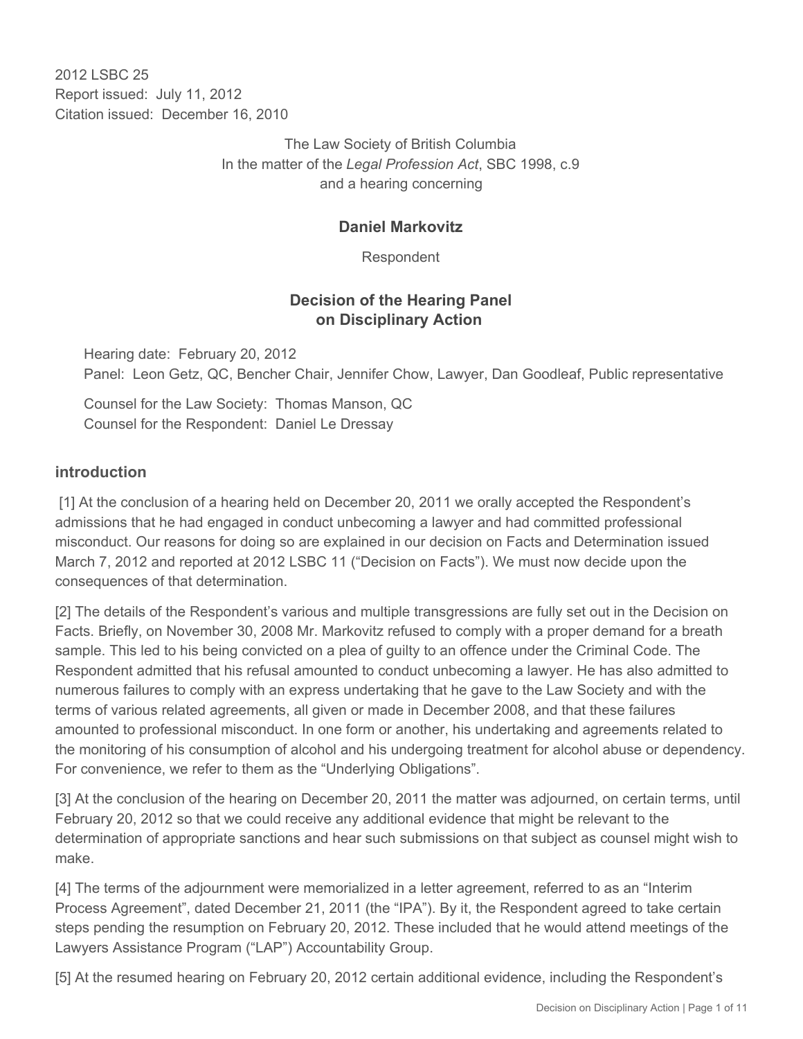2012 LSBC 25 Report issued: July 11, 2012 Citation issued: December 16, 2010

> The Law Society of British Columbia In the matter of the *Legal Profession Act*, SBC 1998, c.9 and a hearing concerning

## **Daniel Markovitz**

Respondent

## **Decision of the Hearing Panel on Disciplinary Action**

Hearing date: February 20, 2012 Panel: Leon Getz, QC, Bencher Chair, Jennifer Chow, Lawyer, Dan Goodleaf, Public representative

Counsel for the Law Society: Thomas Manson, QC Counsel for the Respondent: Daniel Le Dressay

#### **introduction**

 [1] At the conclusion of a hearing held on December 20, 2011 we orally accepted the Respondent's admissions that he had engaged in conduct unbecoming a lawyer and had committed professional misconduct. Our reasons for doing so are explained in our decision on Facts and Determination issued March 7, 2012 and reported at 2012 LSBC 11 ("Decision on Facts"). We must now decide upon the consequences of that determination.

[2] The details of the Respondent's various and multiple transgressions are fully set out in the Decision on Facts. Briefly, on November 30, 2008 Mr. Markovitz refused to comply with a proper demand for a breath sample. This led to his being convicted on a plea of guilty to an offence under the Criminal Code. The Respondent admitted that his refusal amounted to conduct unbecoming a lawyer. He has also admitted to numerous failures to comply with an express undertaking that he gave to the Law Society and with the terms of various related agreements, all given or made in December 2008, and that these failures amounted to professional misconduct. In one form or another, his undertaking and agreements related to the monitoring of his consumption of alcohol and his undergoing treatment for alcohol abuse or dependency. For convenience, we refer to them as the "Underlying Obligations".

[3] At the conclusion of the hearing on December 20, 2011 the matter was adjourned, on certain terms, until February 20, 2012 so that we could receive any additional evidence that might be relevant to the determination of appropriate sanctions and hear such submissions on that subject as counsel might wish to make.

[4] The terms of the adjournment were memorialized in a letter agreement, referred to as an "Interim Process Agreement", dated December 21, 2011 (the "IPA"). By it, the Respondent agreed to take certain steps pending the resumption on February 20, 2012. These included that he would attend meetings of the Lawyers Assistance Program ("LAP") Accountability Group.

[5] At the resumed hearing on February 20, 2012 certain additional evidence, including the Respondent's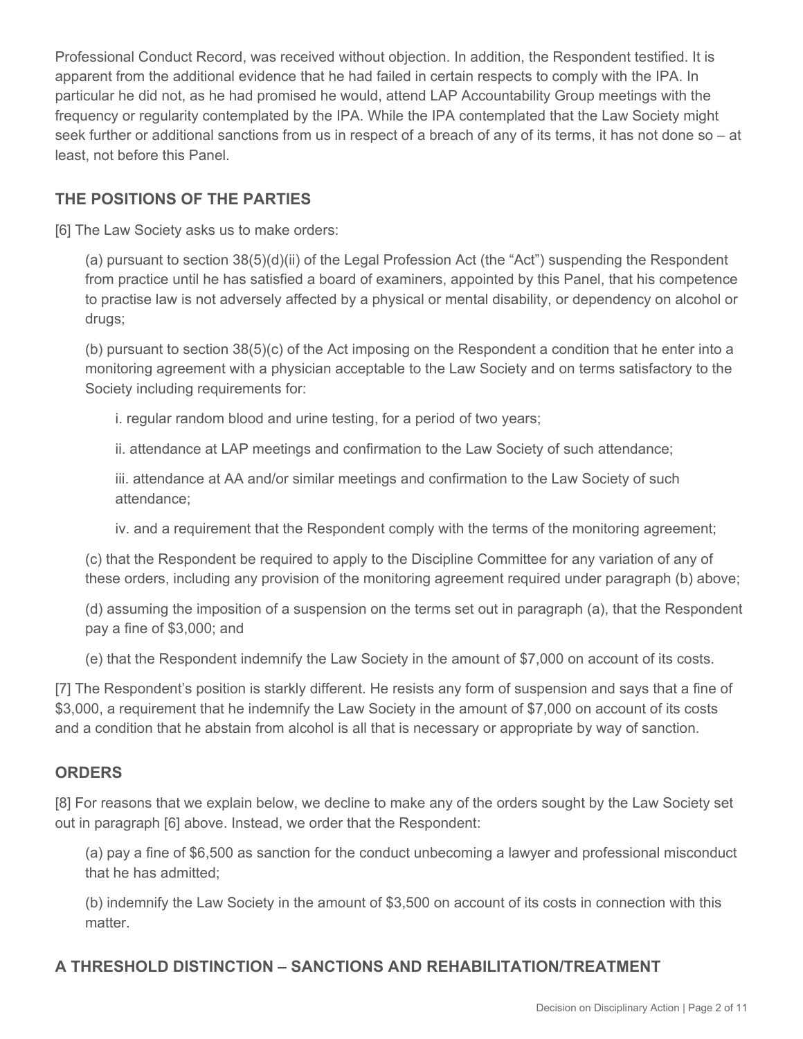Professional Conduct Record, was received without objection. In addition, the Respondent testified. It is apparent from the additional evidence that he had failed in certain respects to comply with the IPA. In particular he did not, as he had promised he would, attend LAP Accountability Group meetings with the frequency or regularity contemplated by the IPA. While the IPA contemplated that the Law Society might seek further or additional sanctions from us in respect of a breach of any of its terms, it has not done so – at least, not before this Panel.

## **THE POSITIONS OF THE PARTIES**

[6] The Law Society asks us to make orders:

(a) pursuant to section 38(5)(d)(ii) of the Legal Profession Act (the "Act") suspending the Respondent from practice until he has satisfied a board of examiners, appointed by this Panel, that his competence to practise law is not adversely affected by a physical or mental disability, or dependency on alcohol or drugs:

(b) pursuant to section 38(5)(c) of the Act imposing on the Respondent a condition that he enter into a monitoring agreement with a physician acceptable to the Law Society and on terms satisfactory to the Society including requirements for:

i. regular random blood and urine testing, for a period of two years;

ii. attendance at LAP meetings and confirmation to the Law Society of such attendance;

iii. attendance at AA and/or similar meetings and confirmation to the Law Society of such attendance;

iv. and a requirement that the Respondent comply with the terms of the monitoring agreement;

(c) that the Respondent be required to apply to the Discipline Committee for any variation of any of these orders, including any provision of the monitoring agreement required under paragraph (b) above;

(d) assuming the imposition of a suspension on the terms set out in paragraph (a), that the Respondent pay a fine of \$3,000; and

(e) that the Respondent indemnify the Law Society in the amount of \$7,000 on account of its costs.

[7] The Respondent's position is starkly different. He resists any form of suspension and says that a fine of \$3,000, a requirement that he indemnify the Law Society in the amount of \$7,000 on account of its costs and a condition that he abstain from alcohol is all that is necessary or appropriate by way of sanction.

## **ORDERS**

[8] For reasons that we explain below, we decline to make any of the orders sought by the Law Society set out in paragraph [6] above. Instead, we order that the Respondent:

(a) pay a fine of \$6,500 as sanction for the conduct unbecoming a lawyer and professional misconduct that he has admitted;

(b) indemnify the Law Society in the amount of \$3,500 on account of its costs in connection with this matter.

# **A THRESHOLD DISTINCTION – SANCTIONS AND REHABILITATION/TREATMENT**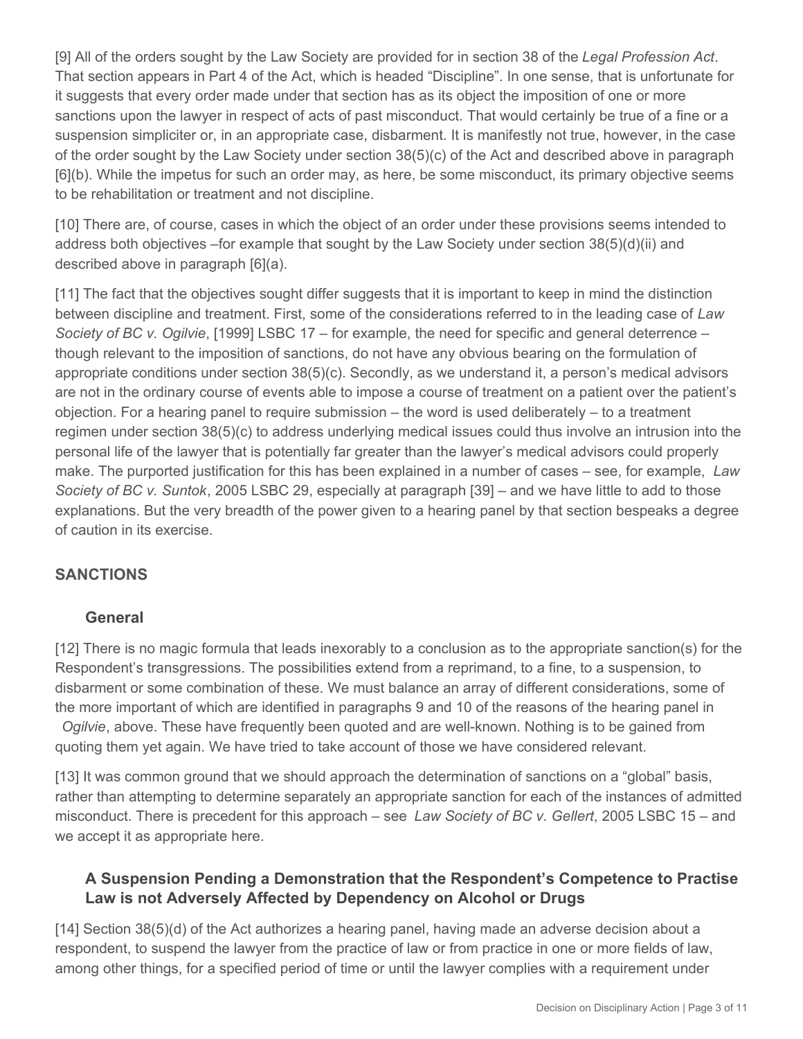[9] All of the orders sought by the Law Society are provided for in section 38 of the *Legal Profession Act*. That section appears in Part 4 of the Act, which is headed "Discipline". In one sense, that is unfortunate for it suggests that every order made under that section has as its object the imposition of one or more sanctions upon the lawyer in respect of acts of past misconduct. That would certainly be true of a fine or a suspension simpliciter or, in an appropriate case, disbarment. It is manifestly not true, however, in the case of the order sought by the Law Society under section 38(5)(c) of the Act and described above in paragraph [6](b). While the impetus for such an order may, as here, be some misconduct, its primary objective seems to be rehabilitation or treatment and not discipline.

[10] There are, of course, cases in which the object of an order under these provisions seems intended to address both objectives –for example that sought by the Law Society under section 38(5)(d)(ii) and described above in paragraph [6](a).

[11] The fact that the objectives sought differ suggests that it is important to keep in mind the distinction between discipline and treatment. First, some of the considerations referred to in the leading case of *Law Society of BC v. Ogilvie*, [1999] LSBC 17 – for example, the need for specific and general deterrence – though relevant to the imposition of sanctions, do not have any obvious bearing on the formulation of appropriate conditions under section 38(5)(c). Secondly, as we understand it, a person's medical advisors are not in the ordinary course of events able to impose a course of treatment on a patient over the patient's objection. For a hearing panel to require submission  $-$  the word is used deliberately  $-$  to a treatment regimen under section 38(5)(c) to address underlying medical issues could thus involve an intrusion into the personal life of the lawyer that is potentially far greater than the lawyer's medical advisors could properly make. The purported justification for this has been explained in a number of cases – see, for example, *Law Society of BC v. Suntok*, 2005 LSBC 29, especially at paragraph [39] – and we have little to add to those explanations. But the very breadth of the power given to a hearing panel by that section bespeaks a degree of caution in its exercise.

## **SANCTIONS**

#### **General**

[12] There is no magic formula that leads inexorably to a conclusion as to the appropriate sanction(s) for the Respondent's transgressions. The possibilities extend from a reprimand, to a fine, to a suspension, to disbarment or some combination of these. We must balance an array of different considerations, some of the more important of which are identified in paragraphs 9 and 10 of the reasons of the hearing panel in

*Ogilvie*, above. These have frequently been quoted and are well-known. Nothing is to be gained from quoting them yet again. We have tried to take account of those we have considered relevant.

[13] It was common ground that we should approach the determination of sanctions on a "global" basis, rather than attempting to determine separately an appropriate sanction for each of the instances of admitted misconduct. There is precedent for this approach – see *Law Society of BC v. Gellert*, 2005 LSBC 15 – and we accept it as appropriate here.

## **A Suspension Pending a Demonstration that the Respondent's Competence to Practise Law is not Adversely Affected by Dependency on Alcohol or Drugs**

[14] Section 38(5)(d) of the Act authorizes a hearing panel, having made an adverse decision about a respondent, to suspend the lawyer from the practice of law or from practice in one or more fields of law, among other things, for a specified period of time or until the lawyer complies with a requirement under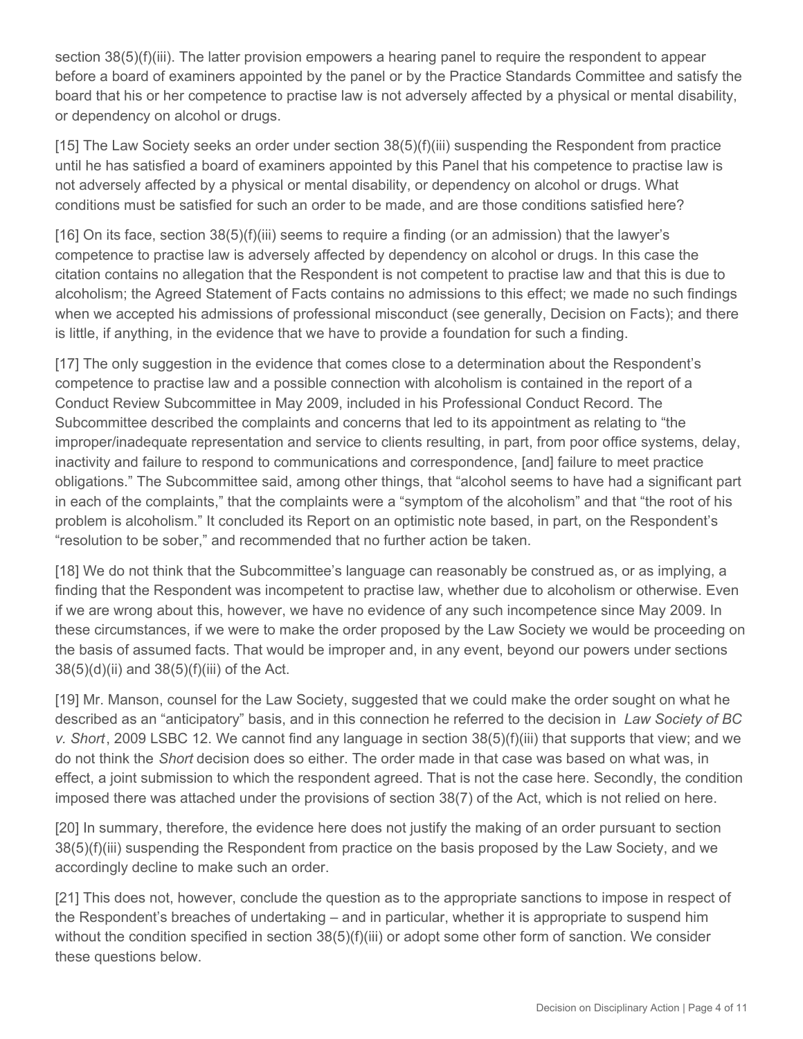section 38(5)(f)(iii). The latter provision empowers a hearing panel to require the respondent to appear before a board of examiners appointed by the panel or by the Practice Standards Committee and satisfy the board that his or her competence to practise law is not adversely affected by a physical or mental disability, or dependency on alcohol or drugs.

[15] The Law Society seeks an order under section 38(5)(f)(iii) suspending the Respondent from practice until he has satisfied a board of examiners appointed by this Panel that his competence to practise law is not adversely affected by a physical or mental disability, or dependency on alcohol or drugs. What conditions must be satisfied for such an order to be made, and are those conditions satisfied here?

[16] On its face, section 38(5)(f)(iii) seems to require a finding (or an admission) that the lawyer's competence to practise law is adversely affected by dependency on alcohol or drugs. In this case the citation contains no allegation that the Respondent is not competent to practise law and that this is due to alcoholism; the Agreed Statement of Facts contains no admissions to this effect; we made no such findings when we accepted his admissions of professional misconduct (see generally, Decision on Facts); and there is little, if anything, in the evidence that we have to provide a foundation for such a finding.

[17] The only suggestion in the evidence that comes close to a determination about the Respondent's competence to practise law and a possible connection with alcoholism is contained in the report of a Conduct Review Subcommittee in May 2009, included in his Professional Conduct Record. The Subcommittee described the complaints and concerns that led to its appointment as relating to "the improper/inadequate representation and service to clients resulting, in part, from poor office systems, delay, inactivity and failure to respond to communications and correspondence, [and] failure to meet practice obligations." The Subcommittee said, among other things, that "alcohol seems to have had a significant part in each of the complaints," that the complaints were a "symptom of the alcoholism" and that "the root of his problem is alcoholism." It concluded its Report on an optimistic note based, in part, on the Respondent's "resolution to be sober," and recommended that no further action be taken.

[18] We do not think that the Subcommittee's language can reasonably be construed as, or as implying, a finding that the Respondent was incompetent to practise law, whether due to alcoholism or otherwise. Even if we are wrong about this, however, we have no evidence of any such incompetence since May 2009. In these circumstances, if we were to make the order proposed by the Law Society we would be proceeding on the basis of assumed facts. That would be improper and, in any event, beyond our powers under sections 38(5)(d)(ii) and 38(5)(f)(iii) of the Act.

[19] Mr. Manson, counsel for the Law Society, suggested that we could make the order sought on what he described as an "anticipatory" basis, and in this connection he referred to the decision in *Law Society of BC v. Short*, 2009 LSBC 12. We cannot find any language in section 38(5)(f)(iii) that supports that view; and we do not think the *Short* decision does so either. The order made in that case was based on what was, in effect, a joint submission to which the respondent agreed. That is not the case here. Secondly, the condition imposed there was attached under the provisions of section 38(7) of the Act, which is not relied on here.

[20] In summary, therefore, the evidence here does not justify the making of an order pursuant to section 38(5)(f)(iii) suspending the Respondent from practice on the basis proposed by the Law Society, and we accordingly decline to make such an order.

[21] This does not, however, conclude the question as to the appropriate sanctions to impose in respect of the Respondent's breaches of undertaking – and in particular, whether it is appropriate to suspend him without the condition specified in section 38(5)(f)(iii) or adopt some other form of sanction. We consider these questions below.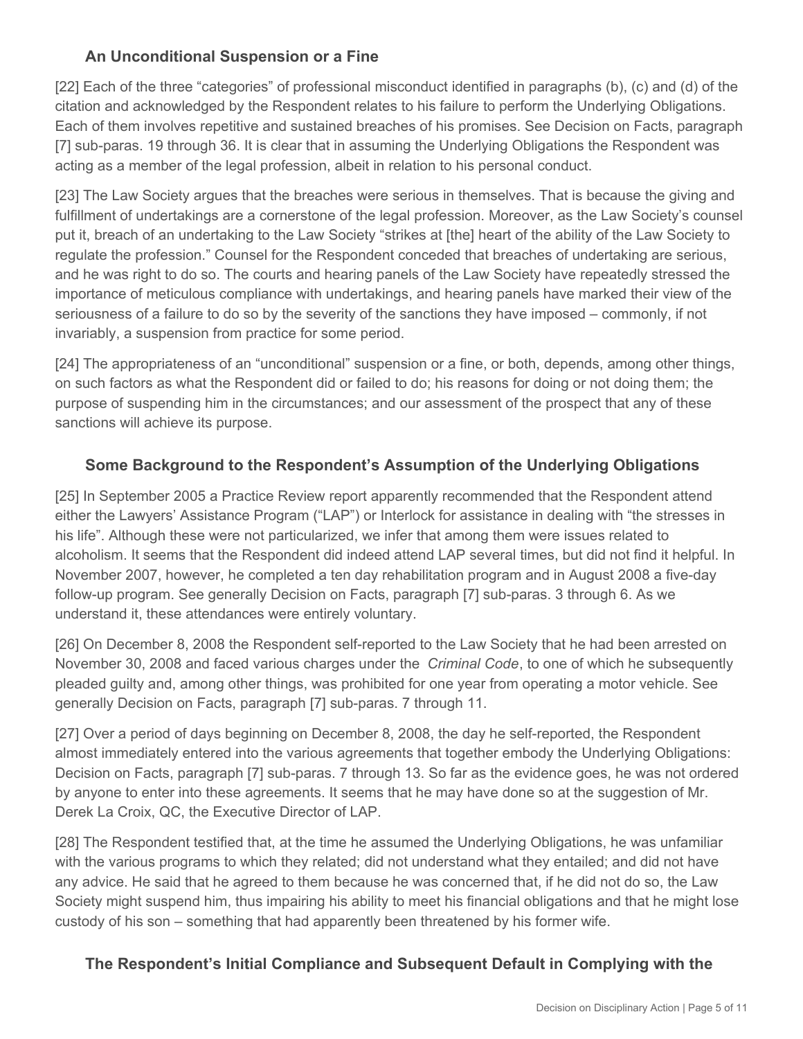# **An Unconditional Suspension or a Fine**

[22] Each of the three "categories" of professional misconduct identified in paragraphs (b), (c) and (d) of the citation and acknowledged by the Respondent relates to his failure to perform the Underlying Obligations. Each of them involves repetitive and sustained breaches of his promises. See Decision on Facts, paragraph [7] sub-paras. 19 through 36. It is clear that in assuming the Underlying Obligations the Respondent was acting as a member of the legal profession, albeit in relation to his personal conduct.

[23] The Law Society argues that the breaches were serious in themselves. That is because the giving and fulfillment of undertakings are a cornerstone of the legal profession. Moreover, as the Law Society's counsel put it, breach of an undertaking to the Law Society "strikes at [the] heart of the ability of the Law Society to regulate the profession." Counsel for the Respondent conceded that breaches of undertaking are serious, and he was right to do so. The courts and hearing panels of the Law Society have repeatedly stressed the importance of meticulous compliance with undertakings, and hearing panels have marked their view of the seriousness of a failure to do so by the severity of the sanctions they have imposed – commonly, if not invariably, a suspension from practice for some period.

[24] The appropriateness of an "unconditional" suspension or a fine, or both, depends, among other things, on such factors as what the Respondent did or failed to do; his reasons for doing or not doing them; the purpose of suspending him in the circumstances; and our assessment of the prospect that any of these sanctions will achieve its purpose.

## **Some Background to the Respondent's Assumption of the Underlying Obligations**

[25] In September 2005 a Practice Review report apparently recommended that the Respondent attend either the Lawyers' Assistance Program ("LAP") or Interlock for assistance in dealing with "the stresses in his life". Although these were not particularized, we infer that among them were issues related to alcoholism. It seems that the Respondent did indeed attend LAP several times, but did not find it helpful. In November 2007, however, he completed a ten day rehabilitation program and in August 2008 a five-day follow-up program. See generally Decision on Facts, paragraph [7] sub-paras. 3 through 6. As we understand it, these attendances were entirely voluntary.

[26] On December 8, 2008 the Respondent self-reported to the Law Society that he had been arrested on November 30, 2008 and faced various charges under the *Criminal Code*, to one of which he subsequently pleaded guilty and, among other things, was prohibited for one year from operating a motor vehicle. See generally Decision on Facts, paragraph [7] sub-paras. 7 through 11.

[27] Over a period of days beginning on December 8, 2008, the day he self-reported, the Respondent almost immediately entered into the various agreements that together embody the Underlying Obligations: Decision on Facts, paragraph [7] sub-paras. 7 through 13. So far as the evidence goes, he was not ordered by anyone to enter into these agreements. It seems that he may have done so at the suggestion of Mr. Derek La Croix, QC, the Executive Director of LAP.

[28] The Respondent testified that, at the time he assumed the Underlying Obligations, he was unfamiliar with the various programs to which they related; did not understand what they entailed; and did not have any advice. He said that he agreed to them because he was concerned that, if he did not do so, the Law Society might suspend him, thus impairing his ability to meet his financial obligations and that he might lose custody of his son – something that had apparently been threatened by his former wife.

# **The Respondent's Initial Compliance and Subsequent Default in Complying with the**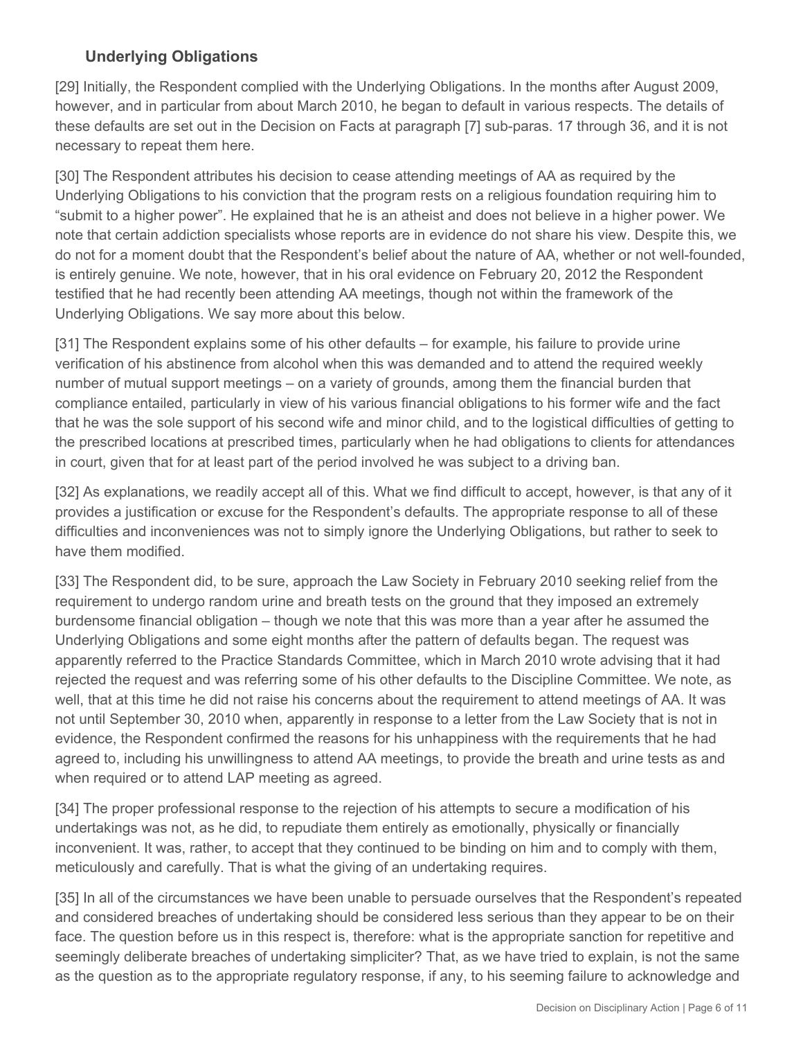# **Underlying Obligations**

[29] Initially, the Respondent complied with the Underlying Obligations. In the months after August 2009, however, and in particular from about March 2010, he began to default in various respects. The details of these defaults are set out in the Decision on Facts at paragraph [7] sub-paras. 17 through 36, and it is not necessary to repeat them here.

[30] The Respondent attributes his decision to cease attending meetings of AA as required by the Underlying Obligations to his conviction that the program rests on a religious foundation requiring him to "submit to a higher power". He explained that he is an atheist and does not believe in a higher power. We note that certain addiction specialists whose reports are in evidence do not share his view. Despite this, we do not for a moment doubt that the Respondent's belief about the nature of AA, whether or not well-founded, is entirely genuine. We note, however, that in his oral evidence on February 20, 2012 the Respondent testified that he had recently been attending AA meetings, though not within the framework of the Underlying Obligations. We say more about this below.

[31] The Respondent explains some of his other defaults – for example, his failure to provide urine verification of his abstinence from alcohol when this was demanded and to attend the required weekly number of mutual support meetings – on a variety of grounds, among them the financial burden that compliance entailed, particularly in view of his various financial obligations to his former wife and the fact that he was the sole support of his second wife and minor child, and to the logistical difficulties of getting to the prescribed locations at prescribed times, particularly when he had obligations to clients for attendances in court, given that for at least part of the period involved he was subject to a driving ban.

[32] As explanations, we readily accept all of this. What we find difficult to accept, however, is that any of it provides a justification or excuse for the Respondent's defaults. The appropriate response to all of these difficulties and inconveniences was not to simply ignore the Underlying Obligations, but rather to seek to have them modified.

[33] The Respondent did, to be sure, approach the Law Society in February 2010 seeking relief from the requirement to undergo random urine and breath tests on the ground that they imposed an extremely burdensome financial obligation – though we note that this was more than a year after he assumed the Underlying Obligations and some eight months after the pattern of defaults began. The request was apparently referred to the Practice Standards Committee, which in March 2010 wrote advising that it had rejected the request and was referring some of his other defaults to the Discipline Committee. We note, as well, that at this time he did not raise his concerns about the requirement to attend meetings of AA. It was not until September 30, 2010 when, apparently in response to a letter from the Law Society that is not in evidence, the Respondent confirmed the reasons for his unhappiness with the requirements that he had agreed to, including his unwillingness to attend AA meetings, to provide the breath and urine tests as and when required or to attend LAP meeting as agreed.

[34] The proper professional response to the rejection of his attempts to secure a modification of his undertakings was not, as he did, to repudiate them entirely as emotionally, physically or financially inconvenient. It was, rather, to accept that they continued to be binding on him and to comply with them, meticulously and carefully. That is what the giving of an undertaking requires.

[35] In all of the circumstances we have been unable to persuade ourselves that the Respondent's repeated and considered breaches of undertaking should be considered less serious than they appear to be on their face. The question before us in this respect is, therefore: what is the appropriate sanction for repetitive and seemingly deliberate breaches of undertaking simpliciter? That, as we have tried to explain, is not the same as the question as to the appropriate regulatory response, if any, to his seeming failure to acknowledge and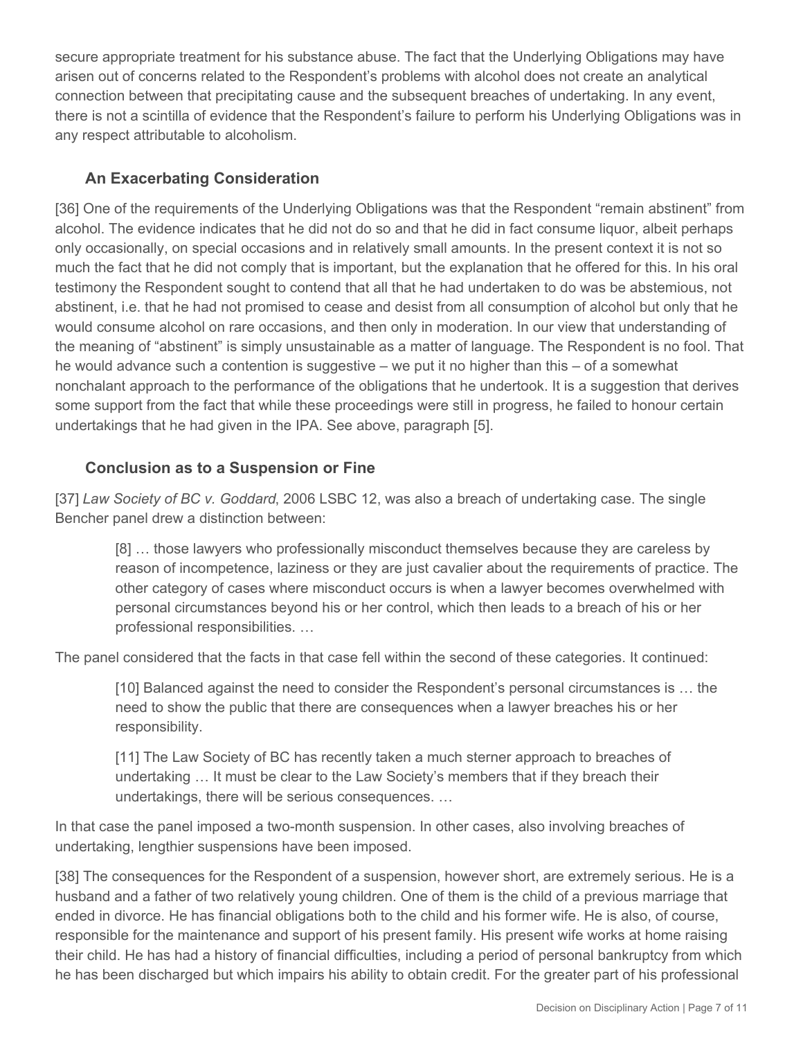secure appropriate treatment for his substance abuse. The fact that the Underlying Obligations may have arisen out of concerns related to the Respondent's problems with alcohol does not create an analytical connection between that precipitating cause and the subsequent breaches of undertaking. In any event, there is not a scintilla of evidence that the Respondent's failure to perform his Underlying Obligations was in any respect attributable to alcoholism.

## **An Exacerbating Consideration**

[36] One of the requirements of the Underlying Obligations was that the Respondent "remain abstinent" from alcohol. The evidence indicates that he did not do so and that he did in fact consume liquor, albeit perhaps only occasionally, on special occasions and in relatively small amounts. In the present context it is not so much the fact that he did not comply that is important, but the explanation that he offered for this. In his oral testimony the Respondent sought to contend that all that he had undertaken to do was be abstemious, not abstinent, i.e. that he had not promised to cease and desist from all consumption of alcohol but only that he would consume alcohol on rare occasions, and then only in moderation. In our view that understanding of the meaning of "abstinent" is simply unsustainable as a matter of language. The Respondent is no fool. That he would advance such a contention is suggestive – we put it no higher than this – of a somewhat nonchalant approach to the performance of the obligations that he undertook. It is a suggestion that derives some support from the fact that while these proceedings were still in progress, he failed to honour certain undertakings that he had given in the IPA. See above, paragraph [5].

## **Conclusion as to a Suspension or Fine**

[37] *Law Society of BC v. Goddard*, 2006 LSBC 12, was also a breach of undertaking case. The single Bencher panel drew a distinction between:

[8] … those lawyers who professionally misconduct themselves because they are careless by reason of incompetence, laziness or they are just cavalier about the requirements of practice. The other category of cases where misconduct occurs is when a lawyer becomes overwhelmed with personal circumstances beyond his or her control, which then leads to a breach of his or her professional responsibilities. …

The panel considered that the facts in that case fell within the second of these categories. It continued:

[10] Balanced against the need to consider the Respondent's personal circumstances is … the need to show the public that there are consequences when a lawyer breaches his or her responsibility.

[11] The Law Society of BC has recently taken a much sterner approach to breaches of undertaking … It must be clear to the Law Society's members that if they breach their undertakings, there will be serious consequences. …

In that case the panel imposed a two-month suspension. In other cases, also involving breaches of undertaking, lengthier suspensions have been imposed.

[38] The consequences for the Respondent of a suspension, however short, are extremely serious. He is a husband and a father of two relatively young children. One of them is the child of a previous marriage that ended in divorce. He has financial obligations both to the child and his former wife. He is also, of course, responsible for the maintenance and support of his present family. His present wife works at home raising their child. He has had a history of financial difficulties, including a period of personal bankruptcy from which he has been discharged but which impairs his ability to obtain credit. For the greater part of his professional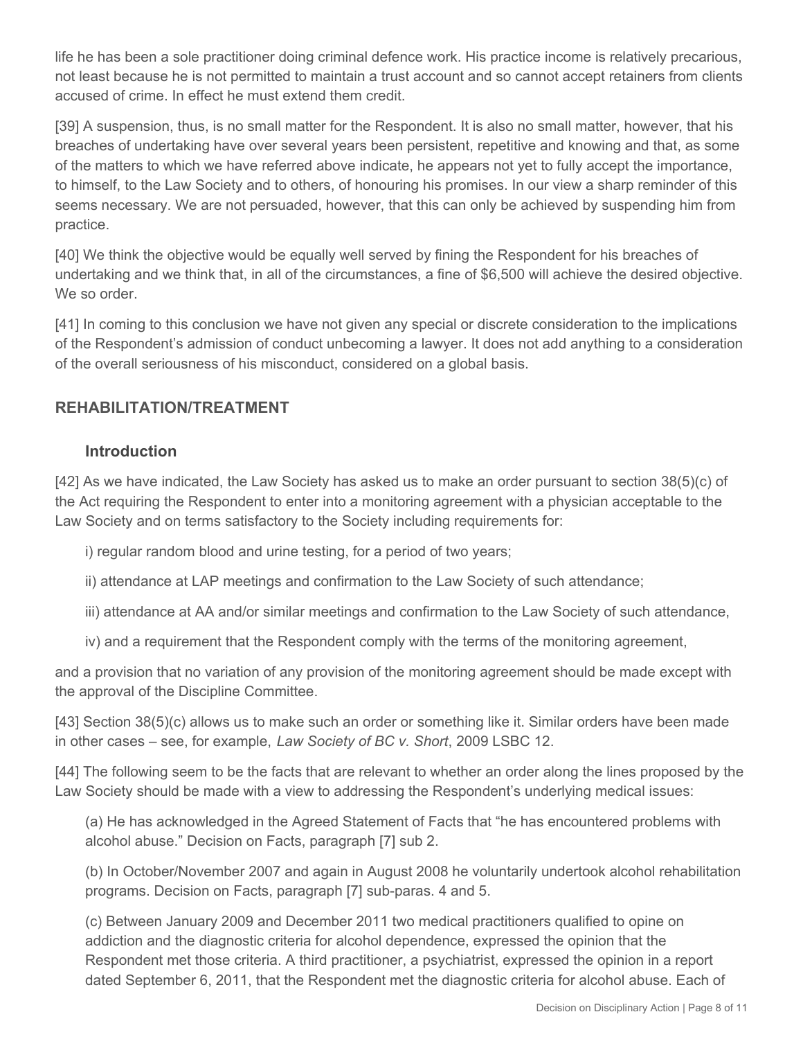life he has been a sole practitioner doing criminal defence work. His practice income is relatively precarious, not least because he is not permitted to maintain a trust account and so cannot accept retainers from clients accused of crime. In effect he must extend them credit.

[39] A suspension, thus, is no small matter for the Respondent. It is also no small matter, however, that his breaches of undertaking have over several years been persistent, repetitive and knowing and that, as some of the matters to which we have referred above indicate, he appears not yet to fully accept the importance, to himself, to the Law Society and to others, of honouring his promises. In our view a sharp reminder of this seems necessary. We are not persuaded, however, that this can only be achieved by suspending him from practice.

[40] We think the objective would be equally well served by fining the Respondent for his breaches of undertaking and we think that, in all of the circumstances, a fine of \$6,500 will achieve the desired objective. We so order.

[41] In coming to this conclusion we have not given any special or discrete consideration to the implications of the Respondent's admission of conduct unbecoming a lawyer. It does not add anything to a consideration of the overall seriousness of his misconduct, considered on a global basis.

## **REHABILITATION/TREATMENT**

#### **Introduction**

[42] As we have indicated, the Law Society has asked us to make an order pursuant to section 38(5)(c) of the Act requiring the Respondent to enter into a monitoring agreement with a physician acceptable to the Law Society and on terms satisfactory to the Society including requirements for:

- i) regular random blood and urine testing, for a period of two years;
- ii) attendance at LAP meetings and confirmation to the Law Society of such attendance;
- iii) attendance at AA and/or similar meetings and confirmation to the Law Society of such attendance,
- iv) and a requirement that the Respondent comply with the terms of the monitoring agreement,

and a provision that no variation of any provision of the monitoring agreement should be made except with the approval of the Discipline Committee.

[43] Section 38(5)(c) allows us to make such an order or something like it. Similar orders have been made in other cases – see, for example, *Law Society of BC v. Short*, 2009 LSBC 12.

[44] The following seem to be the facts that are relevant to whether an order along the lines proposed by the Law Society should be made with a view to addressing the Respondent's underlying medical issues:

(a) He has acknowledged in the Agreed Statement of Facts that "he has encountered problems with alcohol abuse." Decision on Facts, paragraph [7] sub 2.

(b) In October/November 2007 and again in August 2008 he voluntarily undertook alcohol rehabilitation programs. Decision on Facts, paragraph [7] sub-paras. 4 and 5.

(c) Between January 2009 and December 2011 two medical practitioners qualified to opine on addiction and the diagnostic criteria for alcohol dependence, expressed the opinion that the Respondent met those criteria. A third practitioner, a psychiatrist, expressed the opinion in a report dated September 6, 2011, that the Respondent met the diagnostic criteria for alcohol abuse. Each of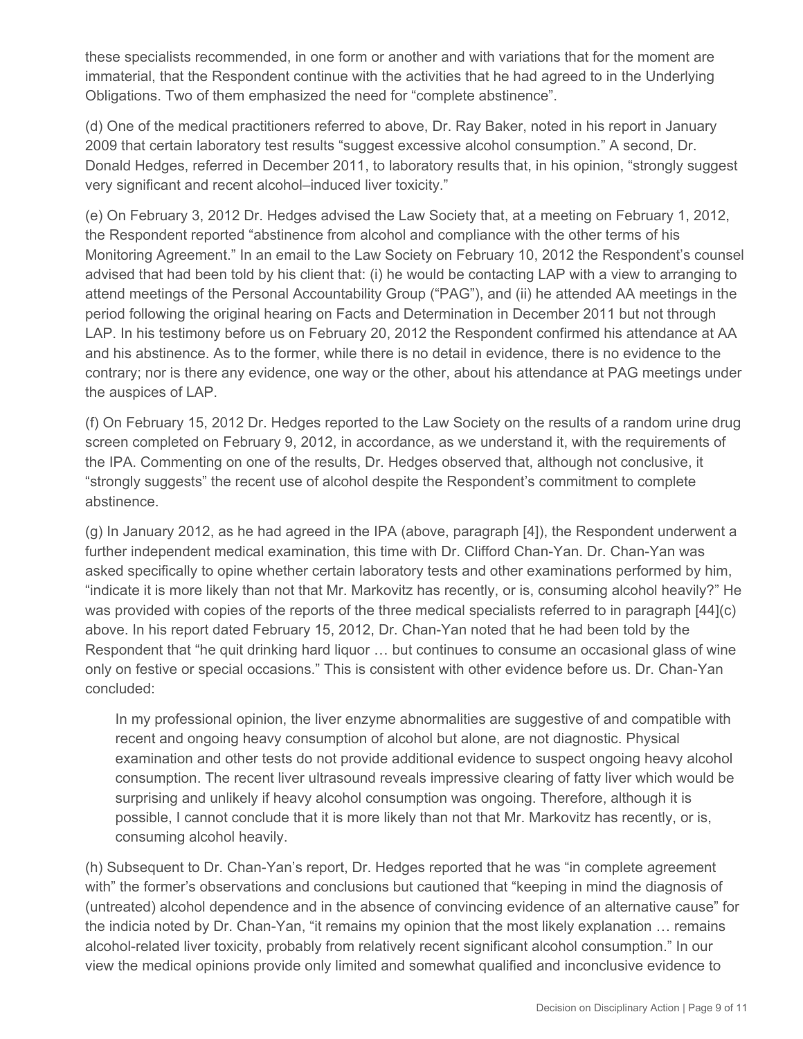these specialists recommended, in one form or another and with variations that for the moment are immaterial, that the Respondent continue with the activities that he had agreed to in the Underlying Obligations. Two of them emphasized the need for "complete abstinence".

(d) One of the medical practitioners referred to above, Dr. Ray Baker, noted in his report in January 2009 that certain laboratory test results "suggest excessive alcohol consumption." A second, Dr. Donald Hedges, referred in December 2011, to laboratory results that, in his opinion, "strongly suggest very significant and recent alcohol–induced liver toxicity."

(e) On February 3, 2012 Dr. Hedges advised the Law Society that, at a meeting on February 1, 2012, the Respondent reported "abstinence from alcohol and compliance with the other terms of his Monitoring Agreement." In an email to the Law Society on February 10, 2012 the Respondent's counsel advised that had been told by his client that: (i) he would be contacting LAP with a view to arranging to attend meetings of the Personal Accountability Group ("PAG"), and (ii) he attended AA meetings in the period following the original hearing on Facts and Determination in December 2011 but not through LAP. In his testimony before us on February 20, 2012 the Respondent confirmed his attendance at AA and his abstinence. As to the former, while there is no detail in evidence, there is no evidence to the contrary; nor is there any evidence, one way or the other, about his attendance at PAG meetings under the auspices of LAP.

(f) On February 15, 2012 Dr. Hedges reported to the Law Society on the results of a random urine drug screen completed on February 9, 2012, in accordance, as we understand it, with the requirements of the IPA. Commenting on one of the results, Dr. Hedges observed that, although not conclusive, it "strongly suggests" the recent use of alcohol despite the Respondent's commitment to complete abstinence.

(g) In January 2012, as he had agreed in the IPA (above, paragraph [4]), the Respondent underwent a further independent medical examination, this time with Dr. Clifford Chan-Yan. Dr. Chan-Yan was asked specifically to opine whether certain laboratory tests and other examinations performed by him, "indicate it is more likely than not that Mr. Markovitz has recently, or is, consuming alcohol heavily?" He was provided with copies of the reports of the three medical specialists referred to in paragraph [44](c) above. In his report dated February 15, 2012, Dr. Chan-Yan noted that he had been told by the Respondent that "he quit drinking hard liquor … but continues to consume an occasional glass of wine only on festive or special occasions." This is consistent with other evidence before us. Dr. Chan-Yan concluded:

In my professional opinion, the liver enzyme abnormalities are suggestive of and compatible with recent and ongoing heavy consumption of alcohol but alone, are not diagnostic. Physical examination and other tests do not provide additional evidence to suspect ongoing heavy alcohol consumption. The recent liver ultrasound reveals impressive clearing of fatty liver which would be surprising and unlikely if heavy alcohol consumption was ongoing. Therefore, although it is possible, I cannot conclude that it is more likely than not that Mr. Markovitz has recently, or is, consuming alcohol heavily.

(h) Subsequent to Dr. Chan-Yan's report, Dr. Hedges reported that he was "in complete agreement with" the former's observations and conclusions but cautioned that "keeping in mind the diagnosis of (untreated) alcohol dependence and in the absence of convincing evidence of an alternative cause" for the indicia noted by Dr. Chan-Yan, "it remains my opinion that the most likely explanation … remains alcohol-related liver toxicity, probably from relatively recent significant alcohol consumption." In our view the medical opinions provide only limited and somewhat qualified and inconclusive evidence to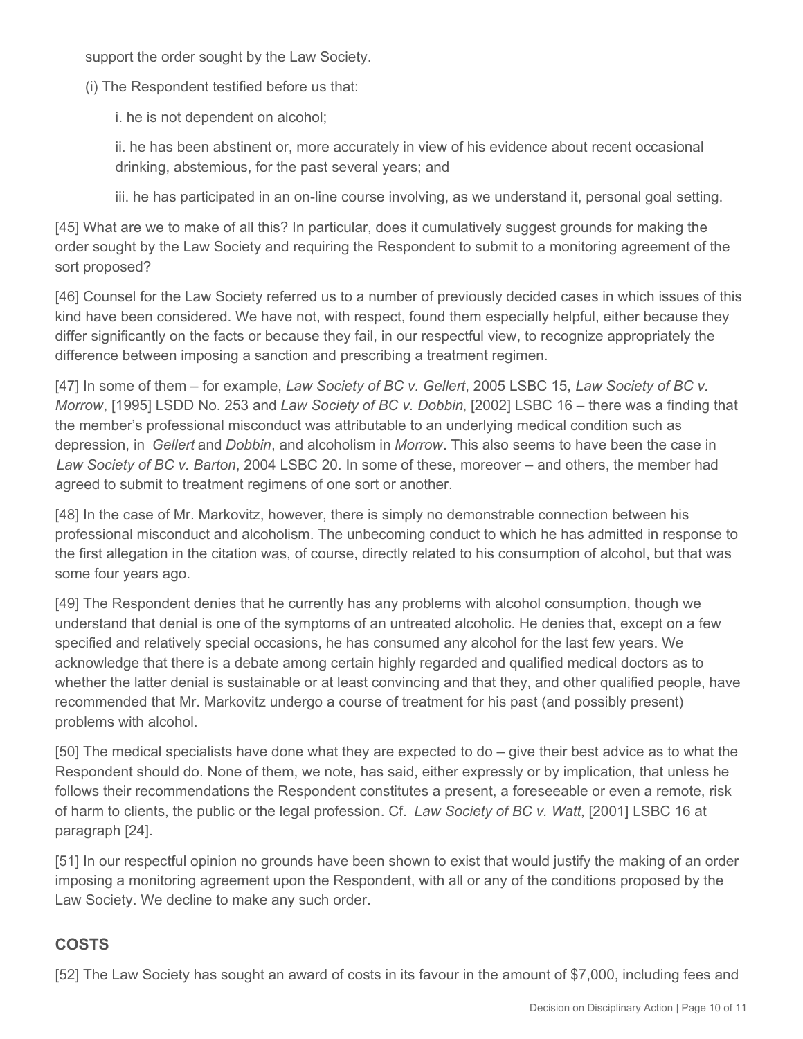support the order sought by the Law Society.

(i) The Respondent testified before us that:

i. he is not dependent on alcohol;

ii. he has been abstinent or, more accurately in view of his evidence about recent occasional drinking, abstemious, for the past several years; and

iii. he has participated in an on-line course involving, as we understand it, personal goal setting.

[45] What are we to make of all this? In particular, does it cumulatively suggest grounds for making the order sought by the Law Society and requiring the Respondent to submit to a monitoring agreement of the sort proposed?

[46] Counsel for the Law Society referred us to a number of previously decided cases in which issues of this kind have been considered. We have not, with respect, found them especially helpful, either because they differ significantly on the facts or because they fail, in our respectful view, to recognize appropriately the difference between imposing a sanction and prescribing a treatment regimen.

[47] In some of them – for example, *Law Society of BC v. Gellert*, 2005 LSBC 15, *Law Society of BC v. Morrow*, [1995] LSDD No. 253 and *Law Society of BC v. Dobbin*, [2002] LSBC 16 – there was a finding that the member's professional misconduct was attributable to an underlying medical condition such as depression, in *Gellert* and *Dobbin*, and alcoholism in *Morrow*. This also seems to have been the case in *Law Society of BC v. Barton*, 2004 LSBC 20. In some of these, moreover – and others, the member had agreed to submit to treatment regimens of one sort or another.

[48] In the case of Mr. Markovitz, however, there is simply no demonstrable connection between his professional misconduct and alcoholism. The unbecoming conduct to which he has admitted in response to the first allegation in the citation was, of course, directly related to his consumption of alcohol, but that was some four years ago.

[49] The Respondent denies that he currently has any problems with alcohol consumption, though we understand that denial is one of the symptoms of an untreated alcoholic. He denies that, except on a few specified and relatively special occasions, he has consumed any alcohol for the last few years. We acknowledge that there is a debate among certain highly regarded and qualified medical doctors as to whether the latter denial is sustainable or at least convincing and that they, and other qualified people, have recommended that Mr. Markovitz undergo a course of treatment for his past (and possibly present) problems with alcohol.

[50] The medical specialists have done what they are expected to do – give their best advice as to what the Respondent should do. None of them, we note, has said, either expressly or by implication, that unless he follows their recommendations the Respondent constitutes a present, a foreseeable or even a remote, risk of harm to clients, the public or the legal profession. Cf. *Law Society of BC v. Watt*, [2001] LSBC 16 at paragraph [24].

[51] In our respectful opinion no grounds have been shown to exist that would justify the making of an order imposing a monitoring agreement upon the Respondent, with all or any of the conditions proposed by the Law Society. We decline to make any such order.

# **COSTS**

[52] The Law Society has sought an award of costs in its favour in the amount of \$7,000, including fees and